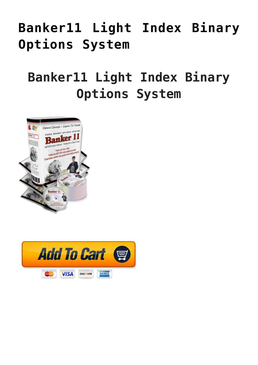## **[Banker11 Light Index Binary](https://binaryoptionsauthority.com/binary-options-authority/binary-option-systems/banker11-light-index-binary-options-system/) [Options System](https://binaryoptionsauthority.com/binary-options-authority/binary-option-systems/banker11-light-index-binary-options-system/)**

### **Banker11 Light Index Binary Options System**



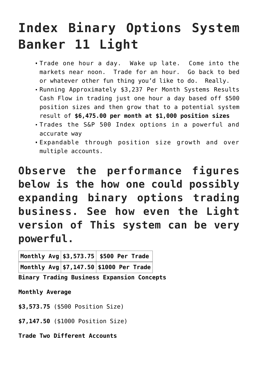# **Index Binary Options System Banker 11 Light**

- Trade one hour a day. Wake up late. Come into the markets near noon. Trade for an hour. Go back to bed or whatever other fun thing you'd like to do. Really.
- Running Approximately \$3,237 Per Month Systems Results Cash Flow in trading just one hour a day based off \$500 position sizes and then grow that to a potential system result of **\$6,475.00 per month at \$1,000 position sizes**
- Trades the S&P 500 Index options in a powerful and accurate way
- Expandable through position size growth and over multiple accounts.

**Observe the performance figures below is the how one could possibly expanding binary options trading business. See how even the Light version of This system can be very powerful.**

|  | <code> Monthly Avg \$3,573.75<math>\vert</math>\$500 Per Trade <math>\vert</math></code> |  |  |
|--|------------------------------------------------------------------------------------------|--|--|
|  | <code> Monthly Avg \$7,147.50</code> $\big $ \$1000 <code>Per Trade</code> $\big $       |  |  |

**Binary Trading Business Expansion Concepts**

**Monthly Average**

**\$3,573.75** (\$500 Position Size)

**\$7,147.50** (\$1000 Position Size)

**Trade Two Different Accounts**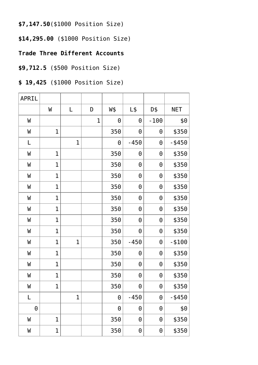**\$7,147.50**(\$1000 Position Size)

**\$14,295.00** (\$1000 Position Size)

#### **Trade Three Different Accounts**

#### **\$9,712.5** (\$500 Position Size)

### **\$ 19,425** (\$1000 Position Size)

| APRIL    |                |              |             |          |                       |          |            |
|----------|----------------|--------------|-------------|----------|-----------------------|----------|------------|
|          | W              | L            | D           | W\$      | $L\$                  | D\$      | <b>NET</b> |
| W        |                |              | $\mathbf 1$ | $\Theta$ | 0                     | $-100$   | \$0        |
| W        | $\mathbf{1}$   |              |             | 350      | $\Theta$              | $\Theta$ | \$350      |
| L        |                | $\mathbf{1}$ |             | $\Theta$ | $-450$                | $\Theta$ | $-$ \$450  |
| W        | $\mathbf{1}$   |              |             | 350      | $\Theta$              | 0        | \$350      |
| W        | $\mathbf 1$    |              |             | 350      | $\Theta$              | $\Theta$ | \$350      |
| W        | $\mathbf{1}$   |              |             | 350      | $\Theta$              | $\Theta$ | \$350      |
| W        | $\mathbf{1}$   |              |             | 350      | $\Theta$              | $\Theta$ | \$350      |
| W        | $\mathbf{1}$   |              |             | 350      | $\Theta$              | $\Theta$ | \$350      |
| W        | $\mathbf{1}$   |              |             | 350      | $\Theta$              | $\Theta$ | \$350      |
| W        | $\mathbf{1}$   |              |             | 350      | $\Theta$              | $\Theta$ | \$350      |
| W        | $\overline{1}$ |              |             | 350      | $\Theta$              | $\Theta$ | \$350      |
| W        | $\mathbf 1$    | $\mathbf 1$  |             | 350      | $-450$                | $\Theta$ | $- $100$   |
| W        | $\mathbf 1$    |              |             | 350      | $\Theta$              | $\Theta$ | \$350      |
| W        | $\mathbf{1}$   |              |             | 350      | $\Theta$              | $\Theta$ | \$350      |
| W        | $\mathbf{1}$   |              |             | 350      | $\boldsymbol{\Theta}$ | $\Theta$ | \$350      |
| W        | $\mathbf 1$    |              |             | 350      | $\pmb{\Theta}$        | $\Theta$ | \$350      |
| L        |                | $\mathbf 1$  |             | $\Theta$ | $-450$                | $\Theta$ | $-$ \$450  |
| $\Theta$ |                |              |             | $\Theta$ | $\boldsymbol{\Theta}$ | $\Theta$ | \$0        |
| W        | $\mathbf 1$    |              |             | 350      | $\Theta$              | $\Theta$ | \$350      |
| W        | $\mathbf 1$    |              |             | 350      | $\boldsymbol{\Theta}$ | 0        | \$350      |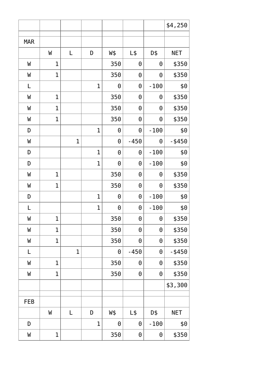|            |                |              |              |          |          |          | \$4,250    |
|------------|----------------|--------------|--------------|----------|----------|----------|------------|
| <b>MAR</b> |                |              |              |          |          |          |            |
|            | W              | L            | D            | W\$      | $L\$     | D\$      | <b>NET</b> |
| W          | $\mathbf 1$    |              |              | 350      | $\Theta$ | $\Theta$ | \$350      |
| W          | $\mathbf 1$    |              |              | 350      | $\Theta$ | $\Theta$ | \$350      |
| L          |                |              | $\mathbf 1$  | $\Theta$ | $\Theta$ | $-100$   | \$0        |
| W          | $\mathbf{1}$   |              |              | 350      | $\Theta$ | $\Theta$ | \$350      |
| W          | $\mathbf{1}$   |              |              | 350      | $\Theta$ | $\Theta$ | \$350      |
| W          | $\mathbf{1}$   |              |              | 350      | $\Theta$ | $\Theta$ | \$350      |
| D          |                |              | $\mathbf{1}$ | $\Theta$ | $\Theta$ | $-100$   | \$0        |
| W          |                | $\mathbf{1}$ |              | $\Theta$ | $-450$   | $\Theta$ | $-$ \$450  |
| D          |                |              | $\mathbf{1}$ | $\Theta$ | $\Theta$ | $-100$   | \$0        |
| D          |                |              | $\mathbf{1}$ | $\Theta$ | $\Theta$ | $-100$   | \$0        |
| W          | $\mathbf 1$    |              |              | 350      | $\Theta$ | $\Theta$ | \$350      |
| W          | $\mathbf 1$    |              |              | 350      | $\Theta$ | $\Theta$ | \$350      |
| D          |                |              | $\mathbf{1}$ | $\Theta$ | $\Theta$ | $-100$   | \$0        |
| L          |                |              | $\mathbf{1}$ | $\Theta$ | $\Theta$ | $-100$   | \$0        |
| W          | $\mathbf 1$    |              |              | 350      | $\Theta$ | $\Theta$ | \$350      |
| W          | $\mathbf 1$    |              |              | 350      | $\Theta$ | $\Theta$ | \$350      |
| W          | $\mathbf{1}$   |              |              | 350      | $\Theta$ | $\Theta$ | \$350      |
| L          |                | $\mathbf 1$  |              | $\Theta$ | $-450$   | $\Theta$ | $-$ \$450  |
| W          | $\mathbf{1}$   |              |              | 350      | $\Theta$ | $\Theta$ | \$350      |
| W          | $\overline{1}$ |              |              | 350      | $\Theta$ | $\Theta$ | \$350      |
|            |                |              |              |          |          |          | \$3,300    |
| <b>FEB</b> |                |              |              |          |          |          |            |
|            | W              | L            | D            | W\$      | $L\$     | D\$      | <b>NET</b> |
| D          |                |              | $\mathbf{1}$ | $\Theta$ | $\Theta$ | $-100$   | \$0        |
| W          | $\mathbf 1$    |              |              | 350      | $\Theta$ | $\Theta$ | \$350      |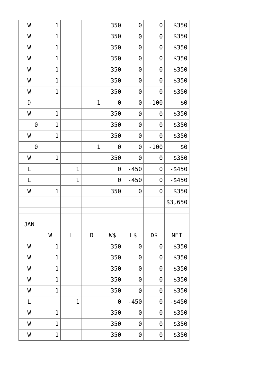| W          | $\overline{1}$ |             |              | 350                   | $\Theta$ | $\Theta$              | \$350      |
|------------|----------------|-------------|--------------|-----------------------|----------|-----------------------|------------|
| W          | $\mathbf{1}$   |             |              | 350                   | $\Theta$ | $\Theta$              | \$350      |
| W          | $\mathbf{1}$   |             |              | 350                   | $\Theta$ | $\Theta$              | \$350      |
| W          | $\mathbf{1}$   |             |              | 350                   | $\Theta$ | $\Theta$              | \$350      |
| W          | $\mathbf{1}$   |             |              | 350                   | $\Theta$ | $\Theta$              | \$350      |
| W          | $\mathbf{1}$   |             |              | 350                   | $\Theta$ | $\Theta$              | \$350      |
| W          | $\mathbf 1$    |             |              | 350                   | $\Theta$ | $\Theta$              | \$350      |
| D          |                |             | $\mathbf{1}$ | $\Theta$              | $\Theta$ | $-100$                | \$0        |
| W          | $\mathbf{1}$   |             |              | 350                   | $\Theta$ | $\Theta$              | \$350      |
| $\Theta$   | $\mathbf{1}$   |             |              | 350                   | $\Theta$ | $\Theta$              | \$350      |
| W          | $\mathbf{1}$   |             |              | 350                   | $\Theta$ | $\Theta$              | \$350      |
| $\Theta$   |                |             | $\mathbf{1}$ | $\boldsymbol{\Theta}$ | $\Theta$ | $-100$                | \$0        |
| W          | $\mathbf{1}$   |             |              | 350                   | $\Theta$ | $\Theta$              | \$350      |
| L          |                | $\mathbf 1$ |              | $\boldsymbol{\Theta}$ | $-450$   | $\boldsymbol{\Theta}$ | $-$ \$450  |
| L          |                | $\mathbf 1$ |              | $\Theta$              | $-450$   | $\boldsymbol{\Theta}$ | $-$ \$450  |
| W          | $\mathbf{1}$   |             |              | 350                   | $\Theta$ | $\Theta$              | \$350      |
|            |                |             |              |                       |          |                       | \$3,650    |
|            |                |             |              |                       |          |                       |            |
| <b>JAN</b> |                |             |              |                       |          |                       |            |
|            | W              | L           | D            | W\$                   | $L\$     | D\$                   | <b>NET</b> |
| W          | $\mathbf{1}$   |             |              | 350                   | $\Theta$ | $\Theta$              | \$350      |
| W          | $\mathbf{1}$   |             |              | 350                   | $\Theta$ | $\Theta$              | \$350      |
| W          | $\mathbf{1}$   |             |              | 350                   | $\Theta$ | $\Theta$              | \$350      |
| W          | $\mathbf{1}$   |             |              | 350                   | $\Theta$ | $\Theta$              | \$350      |
| W          | $\overline{1}$ |             |              | 350                   | $\Theta$ | $\Theta$              | \$350      |
| L          |                | 1           |              | $\Theta$              | $-450$   | $\Theta$              | $-$ \$450  |
| W          | $\mathbf{1}$   |             |              | 350                   | $\Theta$ | $\Theta$              | \$350      |
| W          | $\mathbf{1}$   |             |              | 350                   | $\Theta$ | $\Theta$              | \$350      |
| W          | $\mathbf{1}$   |             |              | 350                   | $\Theta$ | $\Theta$              | \$350      |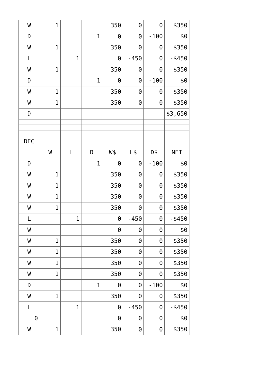| W          | $\overline{1}$ |             |                | 350                   | $\Theta$ | $\Theta$ | \$350      |
|------------|----------------|-------------|----------------|-----------------------|----------|----------|------------|
| D          |                |             | $\mathbf{1}$   | $\Theta$              | $\Theta$ | $-100$   | \$0        |
| W          | $\mathbf{1}$   |             |                | 350                   | $\Theta$ | $\Theta$ | \$350      |
| L          |                | $\mathbf 1$ |                | $\Theta$              | $-450$   | $\Theta$ | $-$ \$450  |
| W          | $\mathbf{1}$   |             |                | 350                   | $\Theta$ | $\Theta$ | \$350      |
| D          |                |             | $\mathbf{1}$   | $\Theta$              | $\Theta$ | $-100$   | \$0        |
| W          | $\mathbf 1$    |             |                | 350                   | $\Theta$ | $\Theta$ | \$350      |
| W          | $\mathbf{1}$   |             |                | 350                   | $\Theta$ | $\Theta$ | \$350      |
| D          |                |             |                |                       |          |          | \$3,650    |
|            |                |             |                |                       |          |          |            |
|            |                |             |                |                       |          |          |            |
| <b>DEC</b> |                |             |                |                       |          |          |            |
|            | W              | L           | D              | W\$                   | $L\$     | D\$      | <b>NET</b> |
| D          |                |             | $\mathbf{1}$   | $\Theta$              | $\Theta$ | $-100$   | \$0        |
| W          | $\mathbf{1}$   |             |                | 350                   | $\Theta$ | $\Theta$ | \$350      |
| W          | $\mathbf 1$    |             |                | 350                   | $\Theta$ | $\Theta$ | \$350      |
| W          | $\mathbf{1}$   |             |                | 350                   | $\Theta$ | $\Theta$ | \$350      |
| W          | $\mathbf{1}$   |             |                | 350                   | $\Theta$ | $\Theta$ | \$350      |
| L          |                | $\mathbf 1$ |                | $\Theta$              | $-450$   | $\Theta$ | $-$ \$450  |
| W          |                |             |                | $\Theta$              | $\Theta$ | $\Theta$ | \$0        |
| W          | $\mathbf{1}$   |             |                | 350                   | $\Theta$ | $\Theta$ | \$350      |
| W          | $\mathbf{1}$   |             |                | 350                   | $\Theta$ | $\Theta$ | \$350      |
| W          | $\mathbf 1$    |             |                | 350                   | $\Theta$ | $\Theta$ | \$350      |
| W          | $\mathbf{1}$   |             |                | 350                   | $\Theta$ | $\Theta$ | \$350      |
| D          |                |             | $\overline{1}$ | $\boldsymbol{\Theta}$ | $\Theta$ | $-100$   | \$0        |
| W          | $\overline{1}$ |             |                | 350                   | $\Theta$ | $\Theta$ | \$350      |
| L          |                | $\mathbf 1$ |                | $\Theta$              | $-450$   | $\Theta$ | $-$ \$450  |
| $\Theta$   |                |             |                | $\Theta$              | $\Theta$ | $\Theta$ | \$0        |
| W          | $\mathbf 1$    |             |                | 350                   | $\Theta$ | $\Theta$ | \$350      |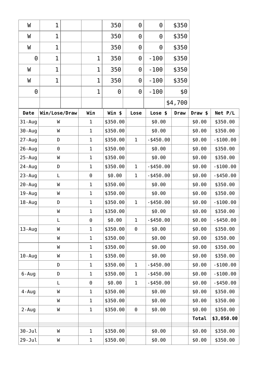| W          | $\overline{1}$ |              | 350      | $\Theta$     | $\Theta$     | \$350       |         |              |
|------------|----------------|--------------|----------|--------------|--------------|-------------|---------|--------------|
| W          | 1              |              | 350      | 0            | 0            | \$350       |         |              |
| W          | $\mathbf 1$    |              | 350      | 0            | 0            | \$350       |         |              |
| $\Theta$   | 1              | $\mathbf 1$  | 350      | 0            | $-100$       | \$350       |         |              |
| W          | 1              | 1            | 350      | 0            | $-100$       | \$350       |         |              |
| W          | 1              | 1            | 350      | 0            | $-100$       | \$350       |         |              |
| $\Theta$   |                | 1            | 0        | 0            | $-100$       | \$0         |         |              |
|            |                |              |          |              |              | \$4,700     |         |              |
| Date       | Win/Lose/Draw  | Win          | Win \$   | Lose         | Lose \$      | <b>Draw</b> | Draw \$ | Net P/L      |
| 31-Aug     | W              | $\mathbf{1}$ | \$350.00 |              | \$0.00       |             | \$0.00  | \$350.00     |
| 30-Aug     | W              | $\mathbf{1}$ | \$350.00 |              | \$0.00       |             | \$0.00  | \$350.00     |
| 27 - Aug   | D              | $\mathbf{1}$ | \$350.00 | $\mathbf{1}$ | $-$ \$450.00 |             | \$0.00  | $- $100.00$  |
| 26 - Aug   | $\Theta$       | $\mathbf{1}$ | \$350.00 |              | \$0.00       |             | \$0.00  | \$350.00     |
| 25 - Aug   | W              | $\mathbf{1}$ | \$350.00 |              | \$0.00       |             | \$0.00  | \$350.00     |
| 24 - Aug   | D              | $\mathbf 1$  | \$350.00 | 1            | $-$ \$450.00 |             | \$0.00  | $- $100.00$  |
| 23-Aug     | L              | $\Theta$     | \$0.00   | $\mathbf 1$  | $-$ \$450.00 |             | \$0.00  | $-$ \$450.00 |
| 20-Aug     | W              | $\mathbf 1$  | \$350.00 |              | \$0.00       |             | \$0.00  | \$350.00     |
| 19-Aug     | W              | $\mathbf{1}$ | \$350.00 |              | \$0.00       |             | \$0.00  | \$350.00     |
| 18-Aug     | D              | $\mathbf{1}$ | \$350.00 | $\mathbf 1$  | $-$ \$450.00 |             | \$0.00  | $- $100.00$  |
|            | W              | $\mathbf{1}$ | \$350.00 |              | \$0.00       |             | \$0.00  | \$350.00     |
|            | L              | 0            | \$0.00   | $\mathbf 1$  | $-$ \$450.00 |             | \$0.00  | $-$ \$450.00 |
| $13 - Aug$ | W              | 1            | \$350.00 | 0            | \$0.00       |             | \$0.00  | \$350.00     |
|            | W              | $\mathbf{1}$ | \$350.00 |              | \$0.00       |             | \$0.00  | \$350.00     |
|            | W              | $\mathbf{1}$ | \$350.00 |              | \$0.00       |             | \$0.00  | \$350.00     |
| $10 - Aug$ | W              | $\mathbf{1}$ | \$350.00 |              | \$0.00       |             | \$0.00  | \$350.00     |
|            | D              | $\mathbf{1}$ | \$350.00 | 1            | $-$ \$450.00 |             | \$0.00  | $- $100.00$  |
| $6 - Aug$  | D              | $\mathbf{1}$ | \$350.00 | $\mathbf 1$  | $-$ \$450.00 |             | \$0.00  | $- $100.00$  |
|            | L              | 0            | \$0.00   | $\mathbf 1$  | $-$ \$450.00 |             | \$0.00  | $-$ \$450.00 |
| $4 - Aug$  | W              | 1            | \$350.00 |              | \$0.00       |             | \$0.00  | \$350.00     |
|            | W              | $\mathbf 1$  | \$350.00 |              | \$0.00       |             | \$0.00  | \$350.00     |
| $2 - Aug$  | W              | $\mathbf{1}$ | \$350.00 | 0            | \$0.00       |             | \$0.00  | \$350.00     |
|            |                |              |          |              |              |             | Total   | \$3,050.00   |
| 30-Jul     | W              | $\mathbf{1}$ | \$350.00 |              | \$0.00       |             | \$0.00  | \$350.00     |
| $29 - Jul$ | W              | $\mathbf 1$  | \$350.00 |              | \$0.00       |             | \$0.00  | \$350.00     |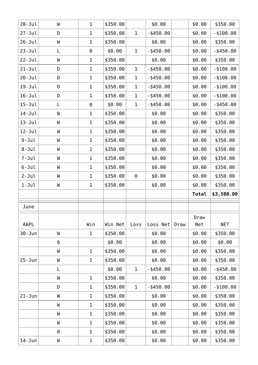| $28 - Jul$  | W        | $\mathbf 1$ | \$350.00 |              | \$0.00       |      | \$0.00 | \$350.00     |
|-------------|----------|-------------|----------|--------------|--------------|------|--------|--------------|
| $27 - Jul$  | D        | $\mathbf 1$ | \$350.00 | $\mathbf 1$  | $-$ \$450.00 |      | \$0.00 | $-$ \$100.00 |
| $26 - Jul$  | W        | $\mathbf 1$ | \$350.00 |              | \$0.00       |      | \$0.00 | \$350.00     |
| $23 - Jul$  | L        | 0           | \$0.00   | $\mathbf{1}$ | $-$ \$450.00 |      | \$0.00 | $-$ \$450.00 |
| $22 - Jul$  | W        | $\mathbf 1$ | \$350.00 |              | \$0.00       |      | \$0.00 | \$350.00     |
| $21 - Jul$  | D        | $\mathbf 1$ | \$350.00 | $\mathbf 1$  | $-$ \$450.00 |      | \$0.00 | $- $100.00$  |
| $20 - Jul$  | D        | 1           | \$350.00 | 1            | $-$ \$450.00 |      | \$0.00 | $- $100.00$  |
| $19 - Ju$ l | D        | $\mathbf 1$ | \$350.00 | $\mathbf 1$  | $-$ \$450.00 |      | \$0.00 | $- $100.00$  |
| $16 - Jul$  | D        | 1           | \$350.00 | $\mathbf 1$  | $-$ \$450.00 |      | \$0.00 | $-$ \$100.00 |
| $15 - Jul$  | L        | $\Theta$    | \$0.00   | $\mathbf 1$  | $-$ \$450.00 |      | \$0.00 | $-$ \$450.00 |
| $14 - Jul$  | W        | $\mathbf 1$ | \$350.00 |              | \$0.00       |      | \$0.00 | \$350.00     |
| $13 - Jul$  | W        | $\mathbf 1$ | \$350.00 |              | \$0.00       |      | \$0.00 | \$350.00     |
| $12 - Jul$  | W        | $\mathbf 1$ | \$350.00 |              | \$0.00       |      | \$0.00 | \$350.00     |
| $9 - Jul$   | W        | $\mathbf 1$ | \$350.00 |              | \$0.00       |      | \$0.00 | \$350.00     |
| $8 - Jul$   | W        | $\mathbf 1$ | \$350.00 |              | \$0.00       |      | \$0.00 | \$350.00     |
| $7 - Jul$   | W        | $\mathbf 1$ | \$350.00 |              | \$0.00       |      | \$0.00 | \$350.00     |
| $6 - Jul$   | W        | $\mathbf 1$ | \$350.00 |              | \$0.00       |      | \$0.00 | \$350.00     |
| $2 - Jul$   | W        | $\mathbf 1$ | \$350.00 | $\Theta$     | \$0.00       |      | \$0.00 | \$350.00     |
|             |          |             |          |              |              |      |        |              |
| $1 - J$ ul  | W        | $\mathbf 1$ | \$350.00 |              | \$0.00       |      | \$0.00 | \$350.00     |
|             |          |             |          |              |              |      | Total  | \$3,500.00   |
| June        |          |             |          |              |              |      |        |              |
|             |          |             |          |              |              |      | Draw   |              |
| AAPL        |          | Win         | Win Net  | Loss         | Loss Net     | Draw | Net    | <b>NET</b>   |
| $30 - Jun$  | W        | $\mathbf 1$ | \$350.00 |              | \$0.00       |      | \$0.00 | \$350.00     |
|             | $\Theta$ |             | \$0.00   |              | \$0.00       |      | \$0.00 | \$0.00       |
|             | W        | $\mathbf 1$ | \$350.00 |              | \$0.00       |      | \$0.00 | \$350.00     |
| $25 - Jun$  | W        | $\mathbf 1$ | \$350.00 |              | \$0.00       |      | \$0.00 | \$350.00     |
|             | L        |             | \$0.00   | $\mathbf 1$  | $-$ \$450.00 |      | \$0.00 | $-$ \$450.00 |
|             | W        | $\mathbf 1$ | \$350.00 |              | \$0.00       |      | \$0.00 | \$350.00     |
|             | D        | $\mathbf 1$ | \$350.00 | $\mathbf{1}$ | $-$ \$450.00 |      | \$0.00 | $- $100.00$  |
| $21 - Jun$  | W        | 1           | \$350.00 |              | \$0.00       |      | \$0.00 | \$350.00     |
|             | W        | $\mathbf 1$ | \$350.00 |              | \$0.00       |      | \$0.00 | \$350.00     |
|             | W        | $\mathbf 1$ | \$350.00 |              | \$0.00       |      | \$0.00 | \$350.00     |
|             | W        | $\mathbf 1$ | \$350.00 |              | \$0.00       |      | \$0.00 | \$350.00     |
|             | 0        | $\mathbf 1$ | \$350.00 |              | \$0.00       |      | \$0.00 | \$350.00     |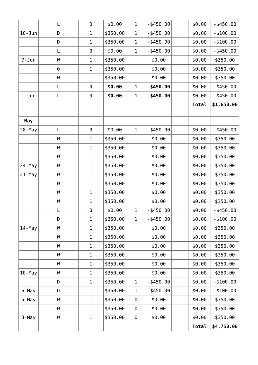|            | L        | $\Theta$     | \$0.00   | $\mathbf 1$ | $-$ \$450.00 | \$0.00 | $-$ \$450.00 |
|------------|----------|--------------|----------|-------------|--------------|--------|--------------|
| $10 - Jun$ | D        | $\mathbf{1}$ | \$350.00 | 1           | $-$ \$450.00 | \$0.00 | $- $100.00$  |
|            | D        | $\mathbf{1}$ | \$350.00 | $\mathbf 1$ | $-$ \$450.00 | \$0.00 | $- $100.00$  |
|            | L        | $\Theta$     | \$0.00   | $\mathbf 1$ | $-$ \$450.00 | \$0.00 | $-$ \$450.00 |
| $7 - Jun$  | W        | $\mathbf 1$  | \$350.00 |             | \$0.00       | \$0.00 | \$350.00     |
|            | $\Theta$ | $\mathbf 1$  | \$350.00 |             | \$0.00       | \$0.00 | \$350.00     |
|            | W        | 1            | \$350.00 |             | \$0.00       | \$0.00 | \$350.00     |
|            | L        | $\Theta$     | \$0.00   | $\mathbf 1$ | $-$ \$450.00 | \$0.00 | $-$ \$450.00 |
| $1 - Jun$  | L        | $\Theta$     | \$0.00   | 1           | $-$ \$450.00 | \$0.00 | $-$ \$450.00 |
|            |          |              |          |             |              | Total  | \$1,650.00   |
|            |          |              |          |             |              |        |              |
| May        |          |              |          |             |              |        |              |
| 28-May     | L        | 0            | \$0.00   | $\mathbf 1$ | $-$ \$450.00 | \$0.00 | $-$ \$450.00 |
|            | W        | $\mathbf 1$  | \$350.00 |             | \$0.00       | \$0.00 | \$350.00     |
|            | W        | $\mathbf 1$  | \$350.00 |             | \$0.00       | \$0.00 | \$350.00     |
|            | W        | $\mathbf{1}$ | \$350.00 |             | \$0.00       | \$0.00 | \$350.00     |
| 24-May     | W        | $\mathbf 1$  | \$350.00 |             | \$0.00       | \$0.00 | \$350.00     |
| 21-May     | W        | $\mathbf{1}$ | \$350.00 |             | \$0.00       | \$0.00 | \$350.00     |
|            | W        | $\mathbf{1}$ | \$350.00 |             | \$0.00       | \$0.00 | \$350.00     |
|            | W        | 1            | \$350.00 |             | \$0.00       | \$0.00 | \$350.00     |
|            | W        | $\mathbf 1$  | \$350.00 |             | \$0.00       | \$0.00 | \$350.00     |
|            | L        | $\Theta$     | \$0.00   | $\mathbf 1$ | $-$ \$450.00 | \$0.00 | $-$ \$450.00 |
|            | D        | $\mathbf{1}$ | \$350.00 | $\mathbf 1$ | $-$ \$450.00 | \$0.00 | $- $100.00$  |
| $14$ -May  | W        | $\mathbf{1}$ | \$350.00 |             | \$0.00       | \$0.00 | \$350.00     |
|            | W        | $\mathbf{1}$ | \$350.00 |             | \$0.00       | \$0.00 | \$350.00     |
|            | W        | $\mathbf{1}$ | \$350.00 |             | \$0.00       | \$0.00 | \$350.00     |
|            | W        | $\mathbf{1}$ | \$350.00 |             | \$0.00       | \$0.00 | \$350.00     |
|            | W        | $\mathbf{1}$ | \$350.00 |             | \$0.00       | \$0.00 | \$350.00     |
| $10$ -May  | W        | 1            | \$350.00 |             | \$0.00       | \$0.00 | \$350.00     |
|            | D        | $\mathbf 1$  | \$350.00 | $\mathbf 1$ | $-$ \$450.00 | \$0.00 | $- $100.00$  |
| 6-May      | D        | $\mathbf{1}$ | \$350.00 | 1           | $-$ \$450.00 | \$0.00 | $- $100.00$  |
| 5-May      | W        | $\mathbf 1$  | \$350.00 | $\Theta$    | \$0.00       | \$0.00 | \$350.00     |
|            | W        | $\mathbf{1}$ | \$350.00 | 0           | \$0.00       | \$0.00 | \$350.00     |
| 3-May      | W        | $\mathbf 1$  | \$350.00 | 0           | \$0.00       | \$0.00 | \$350.00     |
|            |          |              |          |             |              | Total  | \$4,750.00   |